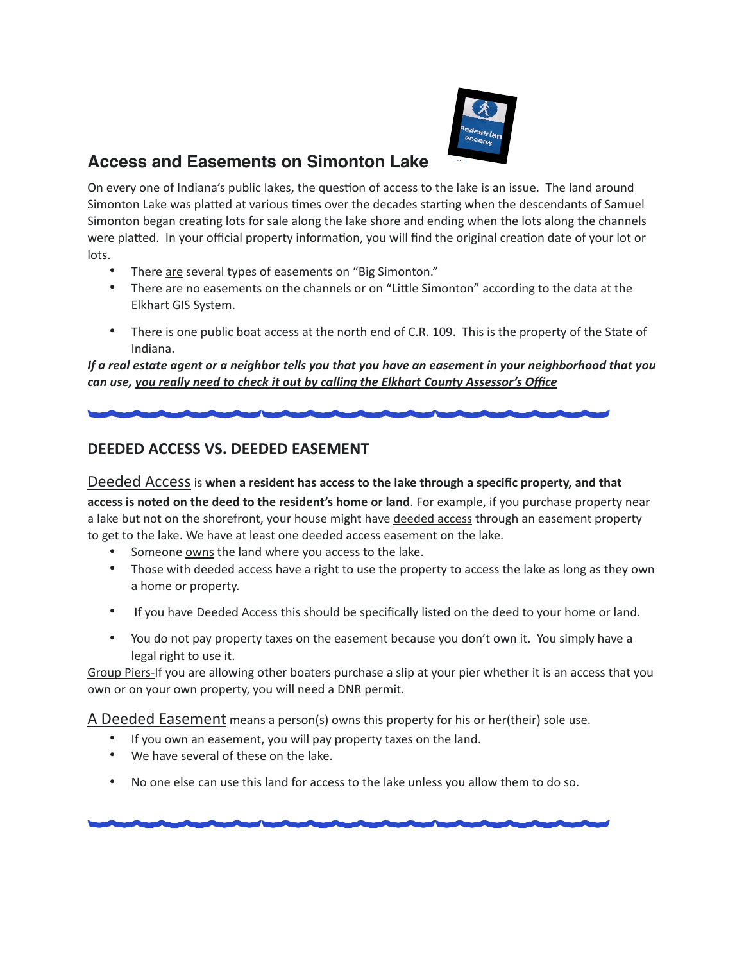

## **Access and Easements on Simonton Lake**

On every one of Indiana's public lakes, the question of access to the lake is an issue. The land around Simonton Lake was platted at various times over the decades starting when the descendants of Samuel Simonton began creating lots for sale along the lake shore and ending when the lots along the channels were platted. In your official property information, you will find the original creation date of your lot or lots.

- There are several types of easements on "Big Simonton."
- There are no easements on the channels or on "Little Simonton" according to the data at the Elkhart GIS System.
- There is one public boat access at the north end of C.R. 109. This is the property of the State of Indiana.

*If a real estate agent or a neighbor tells you that you have an easement in your neighborhood that you can use, you really need to check it out by calling the Elkhart County Assessor's Office*

## **DEEDED ACCESS VS. DEEDED EASEMENT**

## Deeded Access is **when a resident has access to the lake through a specific property, and that**

**access is noted on the deed to the resident's home or land**. For example, if you purchase property near a lake but not on the shorefront, your house might have deeded access through an easement property to get to the lake. We have at least one deeded access easement on the lake.

- Someone owns the land where you access to the lake.
- Those with deeded access have a right to use the property to access the lake as long as they own a home or property.
- If you have Deeded Access this should be specifically listed on the deed to your home or land.
- You do not pay property taxes on the easement because you don't own it. You simply have a legal right to use it.

Group Piers-If you are allowing other boaters purchase a slip at your pier whether it is an access that you own or on your own property, you will need a DNR permit.

A Deeded Easement means a person(s) owns this property for his or her(their) sole use.

- If you own an easement, you will pay property taxes on the land.
- We have several of these on the lake.
- No one else can use this land for access to the lake unless you allow them to do so.